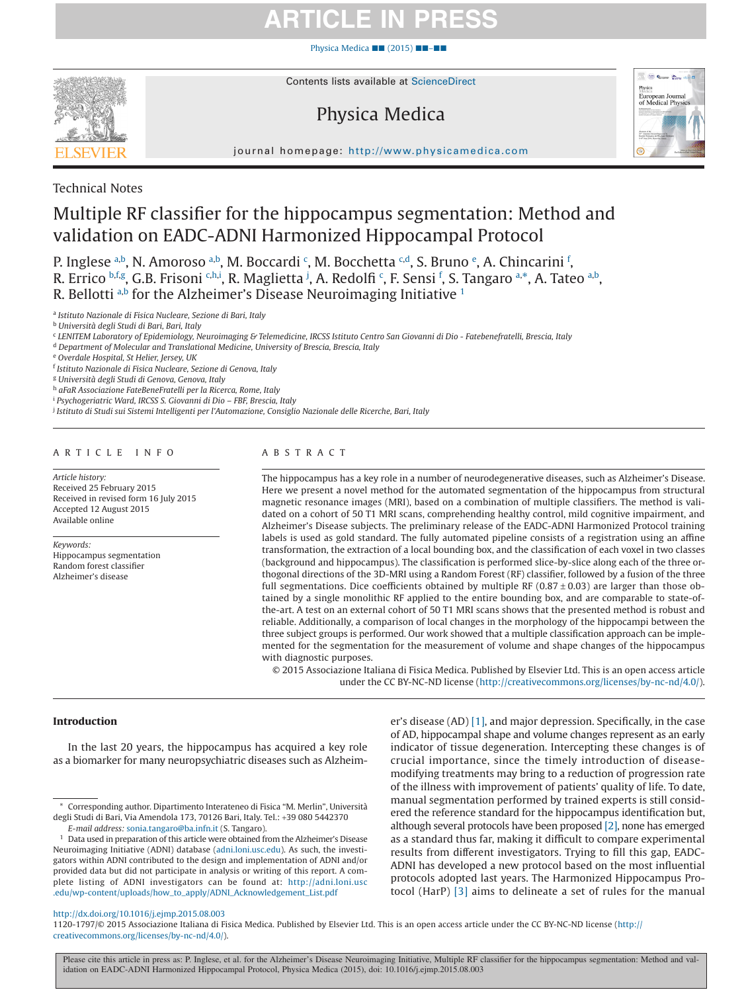# **ARTICLE IN PR**

Physica Medica ■■ (2015) ■■–■■



Contents lists available at [ScienceDirect](http://www.sciencedirect.com/science/journal/11201797)

# Physica Medica



journal homepage: [http://www.physicamedica.com](http://http://www.physicamedica.com)

Technical Notes

# Multiple RF classifier for the hippocampus segmentation: Method and validation on EADC-ADNI Harmonized Hippocampal Protocol

P. Inglese [a,](#page-0-0)[b](#page-0-1), N. Amoroso a,b, M. Bo[c](#page-0-2)cardi <sup>c</sup>, M. Bocch[e](#page-0-4)tta <sup>c,d</sup>, S. Bruno <sup>e</sup>, A. Chincarini <sup>[f](#page-0-5)</sup>, R. Errico b.f.[g](#page-0-6), G.B. Frisoni <sup>[c](#page-0-2).h.[i](#page-0-8)</sup>, R. Maglietta <sup>[j](#page-0-9)</sup>, A. Redol[f](#page-0-5)i <sup>c</sup>, F. Sensi <sup>f</sup>, S. Tangaro a.[\\*,](#page-0-10) A. T[a](#page-0-0)teo a.b<sub>,</sub> R. Bellotti [a](#page-0-0)[,b](#page-0-1) for the Alzheimer's Disease Neuroimaging Initiative  $1$ 

<span id="page-0-0"></span><sup>a</sup> *Istituto Nazionale di Fisica Nucleare, Sezione di Bari, Italy*

<span id="page-0-1"></span><sup>b</sup> *Università degli Studi di Bari, Bari, Italy*

<span id="page-0-2"></span><sup>c</sup> *LENITEM Laboratory of Epidemiology, Neuroimaging & Telemedicine, IRCSS Istituto Centro San Giovanni di Dio - Fatebenefratelli, Brescia, Italy*

<span id="page-0-3"></span><sup>d</sup> *Department of Molecular and Translational Medicine, University of Brescia, Brescia, Italy*

<span id="page-0-4"></span><sup>e</sup> *Overdale Hospital, St Helier, Jersey, UK*

<span id="page-0-6"></span><sup>g</sup> *Università degli Studi di Genova, Genova, Italy*

<span id="page-0-7"></span><sup>h</sup> *aFaR Associazione FateBeneFratelli per la Ricerca, Rome, Italy*

<span id="page-0-8"></span><sup>i</sup> *Psychogeriatric Ward, IRCSS S. Giovanni di Dio – FBF, Brescia, Italy*

<span id="page-0-9"></span><sup>j</sup> *Istituto di Studi sui Sistemi Intelligenti per l'Automazione, Consiglio Nazionale delle Ricerche, Bari, Italy*

# ARTICLE INFO

*Article history:* Received 25 February 2015 Received in revised form 16 July 2015 Accepted 12 August 2015 Available online

*Keywords:* Hippocampus segmentation Random forest classifier Alzheimer's disease

# ABSTRACT

The hippocampus has a key role in a number of neurodegenerative diseases, such as Alzheimer's Disease. Here we present a novel method for the automated segmentation of the hippocampus from structural magnetic resonance images (MRI), based on a combination of multiple classifiers. The method is validated on a cohort of 50 T1 MRI scans, comprehending healthy control, mild cognitive impairment, and Alzheimer's Disease subjects. The preliminary release of the EADC-ADNI Harmonized Protocol training labels is used as gold standard. The fully automated pipeline consists of a registration using an affine transformation, the extraction of a local bounding box, and the classification of each voxel in two classes (background and hippocampus). The classification is performed slice-by-slice along each of the three orthogonal directions of the 3D-MRI using a Random Forest (RF) classifier, followed by a fusion of the three full segmentations. Dice coefficients obtained by multiple RF ( $0.87 \pm 0.03$ ) are larger than those obtained by a single monolithic RF applied to the entire bounding box, and are comparable to state-ofthe-art. A test on an external cohort of 50 T1 MRI scans shows that the presented method is robust and reliable. Additionally, a comparison of local changes in the morphology of the hippocampi between the three subject groups is performed. Our work showed that a multiple classification approach can be implemented for the segmentation for the measurement of volume and shape changes of the hippocampus with diagnostic purposes.

© 2015 Associazione Italiana di Fisica Medica. Published by Elsevier Ltd. This is an open access article under the CC BY-NC-ND license (http://creativecommons.org/licenses/by-nc-nd/4.0/).

# **Introduction**

In the last 20 years, the hippocampus has acquired a key role as a biomarker for many neuropsychiatric diseases such as Alzheimer's disease (AD) [\[1\],](#page-6-0) and major depression. Specifically, in the case of AD, hippocampal shape and volume changes represent as an early indicator of tissue degeneration. Intercepting these changes is of crucial importance, since the timely introduction of diseasemodifying treatments may bring to a reduction of progression rate of the illness with improvement of patients' quality of life. To date, manual segmentation performed by trained experts is still considered the reference standard for the hippocampus identification but, although several protocols have been proposed [\[2\],](#page-6-1) none has emerged as a standard thus far, making it difficult to compare experimental results from different investigators. Trying to fill this gap, EADC-ADNI has developed a new protocol based on the most influential protocols adopted last years. The Harmonized Hippocampus Protocol (HarP) [\[3\]](#page-6-2) aims to delineate a set of rules for the manual

# http://dx.doi.org/10.1016/j.ejmp.2015.08.003

1120-1797/© 2015 Associazione Italiana di Fisica Medica. Published by Elsevier Ltd. This is an open access article under the CC BY-NC-ND license (http:// creativecommons.org/licenses/by-nc-nd/4.0/).

<span id="page-0-5"></span><sup>f</sup> *Istituto Nazionale di Fisica Nucleare, Sezione di Genova, Italy*

<span id="page-0-10"></span><sup>\*</sup> Corresponding author. Dipartimento Interateneo di Fisica "M. Merlin", Università degli Studi di Bari, Via Amendola 173, 70126 Bari, Italy. Tel.: +39 080 5442370

*E-mail address:* [sonia.tangaro@ba.infn.it](mailto:sonia.tangaro@ba.infn.it) (S. Tangaro).

<span id="page-0-11"></span><sup>1</sup> Data used in preparation of this article were obtained from the Alzheimer's Disease Neuroimaging Initiative (ADNI) database [\(adni.loni.usc.edu\)](http://adni.loni.usc.edu). As such, the investigators within ADNI contributed to the design and implementation of ADNI and/or provided data but did not participate in analysis or writing of this report. A complete listing of ADNI investigators can be found at: [http://adni.loni.usc](http://adni.loni.usc.edu/wp-content/uploads/how_to_apply/ADNI_Acknowledgement_List.pdf) [.edu/wp-content/uploads/how\\_to\\_apply/ADNI\\_Acknowledgement\\_List.pdf](http://adni.loni.usc.edu/wp-content/uploads/how_to_apply/ADNI_Acknowledgement_List.pdf)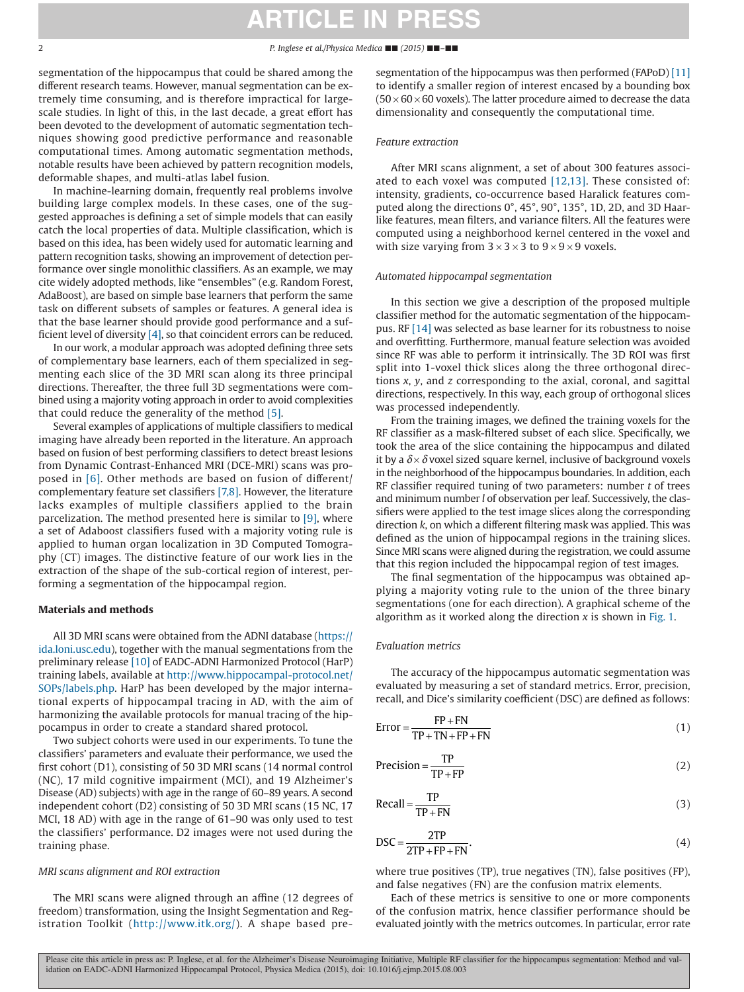### 2 *P. Inglese et al./Physica Medica* ■■ *(2015)* ■■*–*■■

segmentation of the hippocampus that could be shared among the different research teams. However, manual segmentation can be extremely time consuming, and is therefore impractical for largescale studies. In light of this, in the last decade, a great effort has been devoted to the development of automatic segmentation techniques showing good predictive performance and reasonable computational times. Among automatic segmentation methods, notable results have been achieved by pattern recognition models, deformable shapes, and multi-atlas label fusion.

In machine-learning domain, frequently real problems involve building large complex models. In these cases, one of the suggested approaches is defining a set of simple models that can easily catch the local properties of data. Multiple classification, which is based on this idea, has been widely used for automatic learning and pattern recognition tasks, showing an improvement of detection performance over single monolithic classifiers. As an example, we may cite widely adopted methods, like "ensembles" (e.g. Random Forest, AdaBoost), are based on simple base learners that perform the same task on different subsets of samples or features. A general idea is that the base learner should provide good performance and a sufficient level of diversity [\[4\],](#page-6-3) so that coincident errors can be reduced.

In our work, a modular approach was adopted defining three sets of complementary base learners, each of them specialized in segmenting each slice of the 3D MRI scan along its three principal directions. Thereafter, the three full 3D segmentations were combined using a majority voting approach in order to avoid complexities that could reduce the generality of the method [\[5\].](#page-6-4)

Several examples of applications of multiple classifiers to medical imaging have already been reported in the literature. An approach based on fusion of best performing classifiers to detect breast lesions from Dynamic Contrast-Enhanced MRI (DCE-MRI) scans was proposed in [\[6\].](#page-6-5) Other methods are based on fusion of different/ complementary feature set classifiers [\[7,8\].](#page-6-6) However, the literature lacks examples of multiple classifiers applied to the brain parcelization. The method presented here is similar to [\[9\],](#page-6-7) where a set of Adaboost classifiers fused with a majority voting rule is applied to human organ localization in 3D Computed Tomography (CT) images. The distinctive feature of our work lies in the extraction of the shape of the sub-cortical region of interest, performing a segmentation of the hippocampal region.

### **Materials and methods**

All 3D MRI scans were obtained from the ADNI database [\(https://](https://ida.loni.usc.edu) [ida.loni.usc.edu\)](https://ida.loni.usc.edu), together with the manual segmentations from the preliminary release [\[10\]](#page-6-8) of EADC-ADNI Harmonized Protocol (HarP) training labels, available at [http://www.hippocampal-protocol.net/](http://www.hippocampal-protocol.net/SOPs/labels.php) [SOPs/labels.php.](http://www.hippocampal-protocol.net/SOPs/labels.php) HarP has been developed by the major international experts of hippocampal tracing in AD, with the aim of harmonizing the available protocols for manual tracing of the hippocampus in order to create a standard shared protocol.

Two subject cohorts were used in our experiments. To tune the classifiers' parameters and evaluate their performance, we used the first cohort (D1), consisting of 50 3D MRI scans (14 normal control (NC), 17 mild cognitive impairment (MCI), and 19 Alzheimer's Disease (AD) subjects) with age in the range of 60–89 years. A second independent cohort (D2) consisting of 50 3D MRI scans (15 NC, 17 MCI, 18 AD) with age in the range of 61–90 was only used to test the classifiers' performance. D2 images were not used during the training phase.

# *MRI scans alignment and ROI extraction*

The MRI scans were aligned through an affine (12 degrees of freedom) transformation, using the Insight Segmentation and Registration Toolkit [\(http://www.itk.org/\)](http://www.itk.org/). A shape based presegmentation of the hippocampus was then performed (FAPoD) [\[11\]](#page-6-9) to identify a smaller region of interest encased by a bounding box  $(50 \times 60 \times 60$  voxels). The latter procedure aimed to decrease the data dimensionality and consequently the computational time.

### *Feature extraction*

After MRI scans alignment, a set of about 300 features associated to each voxel was computed [\[12,13\].](#page-6-10) These consisted of: intensity, gradients, co-occurrence based Haralick features computed along the directions 0°, 45°, 90°, 135°, 1D, 2D, and 3D Haarlike features, mean filters, and variance filters. All the features were computed using a neighborhood kernel centered in the voxel and with size varying from  $3 \times 3 \times 3$  to  $9 \times 9 \times 9$  voxels.

#### *Automated hippocampal segmentation*

In this section we give a description of the proposed multiple classifier method for the automatic segmentation of the hippocampus. RF [\[14\]](#page-6-11) was selected as base learner for its robustness to noise and overfitting. Furthermore, manual feature selection was avoided since RF was able to perform it intrinsically. The 3D ROI was first split into 1-voxel thick slices along the three orthogonal directions *x*, *y*, and *z* corresponding to the axial, coronal, and sagittal directions, respectively. In this way, each group of orthogonal slices was processed independently.

From the training images, we defined the training voxels for the RF classifier as a mask-filtered subset of each slice. Specifically, we took the area of the slice containing the hippocampus and dilated it by a  $\delta \times \delta$  voxel sized square kernel, inclusive of background voxels in the neighborhood of the hippocampus boundaries. In addition, each RF classifier required tuning of two parameters: number *t* of trees and minimum number *l* of observation per leaf. Successively, the classifiers were applied to the test image slices along the corresponding direction *k*, on which a different filtering mask was applied. This was defined as the union of hippocampal regions in the training slices. Since MRI scans were aligned during the registration, we could assume that this region included the hippocampal region of test images.

The final segmentation of the hippocampus was obtained applying a majority voting rule to the union of the three binary segmentations (one for each direction). A graphical scheme of the algorithm as it worked along the direction *x* is shown in [Fig. 1.](#page-2-0)

# *Evaluation metrics*

The accuracy of the hippocampus automatic segmentation was evaluated by measuring a set of standard metrics. Error, precision, recall, and Dice's similarity coefficient (DSC) are defined as follows:

$$
Error = \frac{FP + FN}{TP + TN + FP + FN}
$$
 (1)

$$
Precision = \frac{TP}{TP + FP}
$$
 (2)

<span id="page-1-0"></span>
$$
Recall = \frac{TP}{TP + FN}
$$
 (3)

$$
DSC = \frac{2TP}{2TP + FP + FN}.
$$
\n(4)

where true positives (TP), true negatives (TN), false positives (FP), and false negatives (FN) are the confusion matrix elements.

Each of these metrics is sensitive to one or more components of the confusion matrix, hence classifier performance should be evaluated jointly with the metrics outcomes. In particular, error rate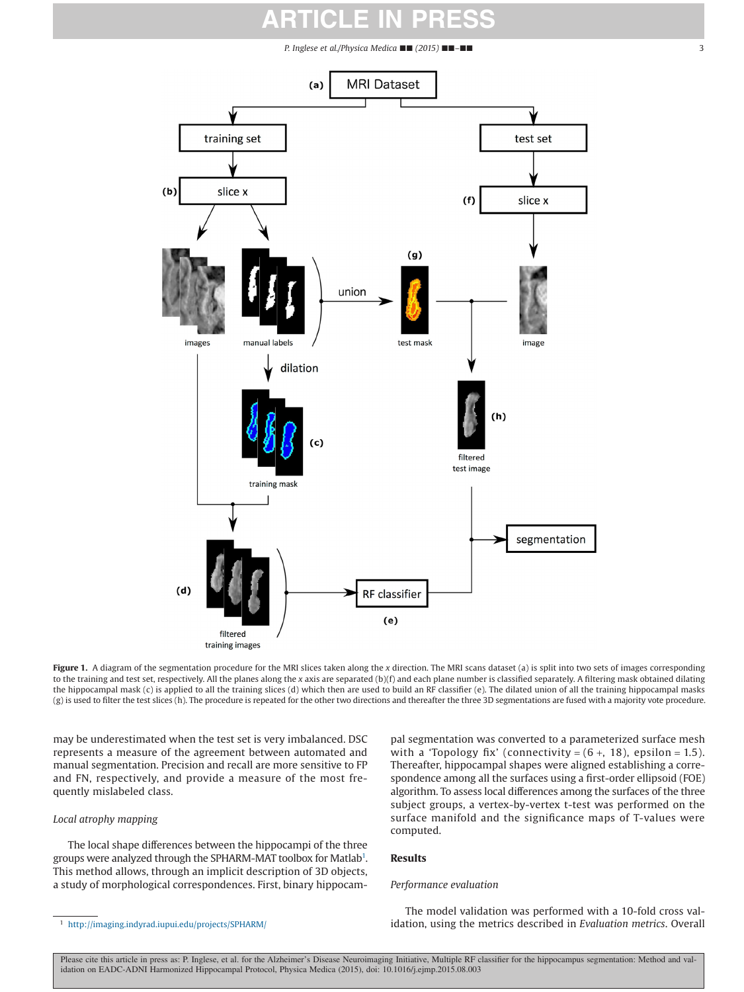*P. Inglese et al./Physica Medica* ■■ *(2015)* ■■*–*■■ 3

<span id="page-2-0"></span>



filtered training images

Figure 1. A diagram of the segmentation procedure for the MRI slices taken along the *x* direction. The MRI scans dataset (a) is split into two sets of images corresponding to the training and test set, respectively. All the planes along the *x* axis are separated (b)(f) and each plane number is classified separately. A filtering mask obtained dilating the hippocampal mask (c) is applied to all the training slices (d) which then are used to build an RF classifier (e). The dilated union of all the training hippocampal masks (g) is used to filter the test slices (h). The procedure is repeated for the other two directions and thereafter the three 3D segmentations are fused with a majority vote procedure.

may be underestimated when the test set is very imbalanced. DSC represents a measure of the agreement between automated and manual segmentation. Precision and recall are more sensitive to FP and FN, respectively, and provide a measure of the most frequently mislabeled class.

# *Local atrophy mapping*

The local shape differences between the hippocampi of the three groups were analyzed through the SPHARM-MAT toolbox for Matlab<sup>1</sup>. This method allows, through an implicit description of 3D objects, a study of morphological correspondences. First, binary hippocam-

pal segmentation was converted to a parameterized surface mesh with a 'Topology fix' (connectivity =  $(6 +, 18)$ , epsilon = 1.5). Thereafter, hippocampal shapes were aligned establishing a correspondence among all the surfaces using a first-order ellipsoid (FOE) algorithm. To assess local differences among the surfaces of the three subject groups, a vertex-by-vertex t-test was performed on the surface manifold and the significance maps of T-values were computed.

# **Results**

# *Performance evaluation*

 $(b)$ 

images

slice x

<span id="page-2-1"></span>The model validation was performed with a 10-fold cross val<sup>1</sup> <http://imaging.indyrad.iupui.edu/projects/SPHARM/> **11 and 10 and 10 and 10 and 10 and 10 and 10 and 10 and 10 and 10 and 10 and 10 and 10 and 10 and 10 and 10 and 10 and 10 and 10 and 10 and 10 and 10 and 10 and 10 and**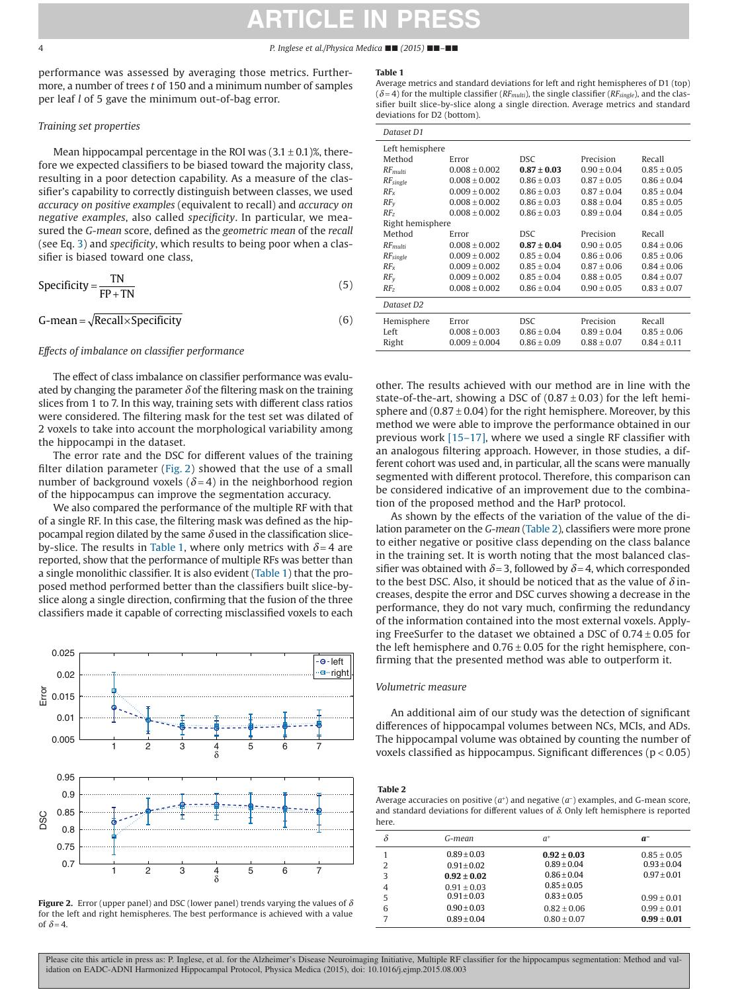#### <span id="page-3-0"></span>4 *P. Inglese et al./Physica Medica* ■■ *(2015)* ■■*–*■■

performance was assessed by averaging those metrics. Furthermore, a number of trees *t* of 150 and a minimum number of samples per leaf *l* of 5 gave the minimum out-of-bag error.

# *Training set properties*

Mean hippocampal percentage in the ROI was  $(3.1 \pm 0.1)$ %, therefore we expected classifiers to be biased toward the majority class, resulting in a poor detection capability. As a measure of the classifier's capability to correctly distinguish between classes, we used *accuracy on positive examples* (equivalent to recall) and *accuracy on negative examples*, also called *specificity*. In particular, we measured the *G-mean* score, defined as the *geometric mean* of the *recall* (see Eq. [3\)](#page-1-0) and *specificity*, which results to being poor when a classifier is biased toward one class,

$$
Specificity = \frac{TN}{FP + TN}
$$
 (5)

$$
G-mean = \sqrt{Recall \times Specificity}
$$
 (6)

# *Effects of imbalance on classifier performance*

The effect of class imbalance on classifier performance was evaluated by changing the parameter  $\delta$  of the filtering mask on the training slices from 1 to 7. In this way, training sets with different class ratios were considered. The filtering mask for the test set was dilated of 2 voxels to take into account the morphological variability among the hippocampi in the dataset.

The error rate and the DSC for different values of the training filter dilation parameter (Fig. 2) showed that the use of a small number of background voxels  $(\delta = 4)$  in the neighborhood region of the hippocampus can improve the segmentation accuracy.

We also compared the performance of the multiple RF with that of a single RF. In this case, the filtering mask was defined as the hippocampal region dilated by the same *δ* used in the classification sliceby-slice. The results in Table 1, where only metrics with  $\delta = 4$  are reported, show that the performance of multiple RFs was better than a single monolithic classifier. It is also evident (Table 1) that the proposed method performed better than the classifiers built slice-byslice along a single direction, confirming that the fusion of the three classifiers made it capable of correcting misclassified voxels to each





#### **Table 1**

Average metrics and standard deviations for left and right hemispheres of D1 (top)  $(\delta = 4)$  for the multiple classifier (*RF<sub>multi</sub>*), the single classifier (*RF<sub>single</sub>*), and the classifier built slice-by-slice along a single direction. Average metrics and standard deviations for D2 (bottom).

| Dataset D1            |                   |                 |                 |                 |  |  |
|-----------------------|-------------------|-----------------|-----------------|-----------------|--|--|
| Left hemisphere       |                   |                 |                 |                 |  |  |
| Method                | Error             | <b>DSC</b>      | Precision       | Recall          |  |  |
| $RF$ <sub>multi</sub> | $0.008 \pm 0.002$ | $0.87 \pm 0.03$ | $0.90 \pm 0.04$ | $0.85 \pm 0.05$ |  |  |
| $RF_{single}$         | $0.008 \pm 0.002$ | $0.86 \pm 0.03$ | $0.87 + 0.05$   | $0.86 \pm 0.04$ |  |  |
| $RF_x$                | $0.009 \pm 0.002$ | $0.86 \pm 0.03$ | $0.87 \pm 0.04$ | $0.85 \pm 0.04$ |  |  |
| $RF_v$                | $0.008 \pm 0.002$ | $0.86 + 0.03$   | $0.88 + 0.04$   | $0.85 + 0.05$   |  |  |
| $RF_{2}$              | $0.008 + 0.002$   | $0.86 + 0.03$   | $0.89 + 0.04$   | $0.84 + 0.05$   |  |  |
| Right hemisphere      |                   |                 |                 |                 |  |  |
| Method                | Error             | <b>DSC</b>      | Precision       | Recall          |  |  |
| $RF$ <sub>multi</sub> | $0.008 \pm 0.002$ | $0.87 \pm 0.04$ | $0.90 \pm 0.05$ | $0.84 \pm 0.06$ |  |  |
| $RF_{single}$         | $0.009 \pm 0.002$ | $0.85 \pm 0.04$ | $0.86 \pm 0.06$ | $0.85 \pm 0.06$ |  |  |
| $RF_x$                | $0.009 \pm 0.002$ | $0.85 \pm 0.04$ | $0.87 \pm 0.06$ | $0.84 \pm 0.06$ |  |  |
| $RF_v$                | $0.009 \pm 0.002$ | $0.85 \pm 0.04$ | $0.88 + 0.05$   | $0.84 \pm 0.07$ |  |  |
| $RF_z$                | $0.008 \pm 0.002$ | $0.86 \pm 0.04$ | $0.90 \pm 0.05$ | $0.83 \pm 0.07$ |  |  |
| Dataset D2            |                   |                 |                 |                 |  |  |
| Hemisphere            | Error             | <b>DSC</b>      | Precision       | Recall          |  |  |
| Left                  | $0.008 \pm 0.003$ | $0.86 \pm 0.04$ | $0.89 \pm 0.04$ | $0.85 \pm 0.06$ |  |  |
| Right                 | $0.009 \pm 0.004$ | $0.86 \pm 0.09$ | $0.88 \pm 0.07$ | $0.84 \pm 0.11$ |  |  |

other. The results achieved with our method are in line with the state-of-the-art, showing a DSC of  $(0.87 \pm 0.03)$  for the left hemisphere and  $(0.87 \pm 0.04)$  for the right hemisphere. Moreover, by this method we were able to improve the performance obtained in our previous work [\[15–17\],](#page-6-12) where we used a single RF classifier with an analogous filtering approach. However, in those studies, a different cohort was used and, in particular, all the scans were manually segmented with different protocol. Therefore, this comparison can be considered indicative of an improvement due to the combination of the proposed method and the HarP protocol.

As shown by the effects of the variation of the value of the dilation parameter on the *G-mean* (Table 2), classifiers were more prone to either negative or positive class depending on the class balance in the training set. It is worth noting that the most balanced classifier was obtained with  $\delta$  = 3, followed by  $\delta$  = 4, which corresponded to the best DSC. Also, it should be noticed that as the value of *δ* increases, despite the error and DSC curves showing a decrease in the performance, they do not vary much, confirming the redundancy of the information contained into the most external voxels. Applying FreeSurfer to the dataset we obtained a DSC of  $0.74 \pm 0.05$  for the left hemisphere and  $0.76 \pm 0.05$  for the right hemisphere, confirming that the presented method was able to outperform it.

# *Volumetric measure*

An additional aim of our study was the detection of significant differences of hippocampal volumes between NCs, MCIs, and ADs. The hippocampal volume was obtained by counting the number of

#### **Table 2**

Average accuracies on positive  $(a<sup>+</sup>)$  and negative  $(a<sup>-</sup>)$  examples, and G-mean score, and standard deviations for different values of *δ*. Only left hemisphere is reported here.

| δ | G-mean          | $a^{\scriptscriptstyle +}$ | $a^-$         |
|---|-----------------|----------------------------|---------------|
|   | $0.89 + 0.03$   | $0.92 \pm 0.03$            | $0.85 + 0.05$ |
| 2 | $0.91 + 0.02$   | $0.89 + 0.04$              | $0.93 + 0.04$ |
| 3 | $0.92 \pm 0.02$ | $0.86 + 0.04$              | $0.97 + 0.01$ |
| 4 | $0.91 + 0.03$   | $0.85 + 0.05$              |               |
| 5 | $0.91 + 0.03$   | $0.83 + 0.05$              | $0.99 + 0.01$ |
| 6 | $0.90 + 0.03$   | $0.82 + 0.06$              | $0.99 + 0.01$ |
| 7 | $0.89 + 0.04$   | $0.80 + 0.07$              | $0.99 + 0.01$ |
|   |                 |                            |               |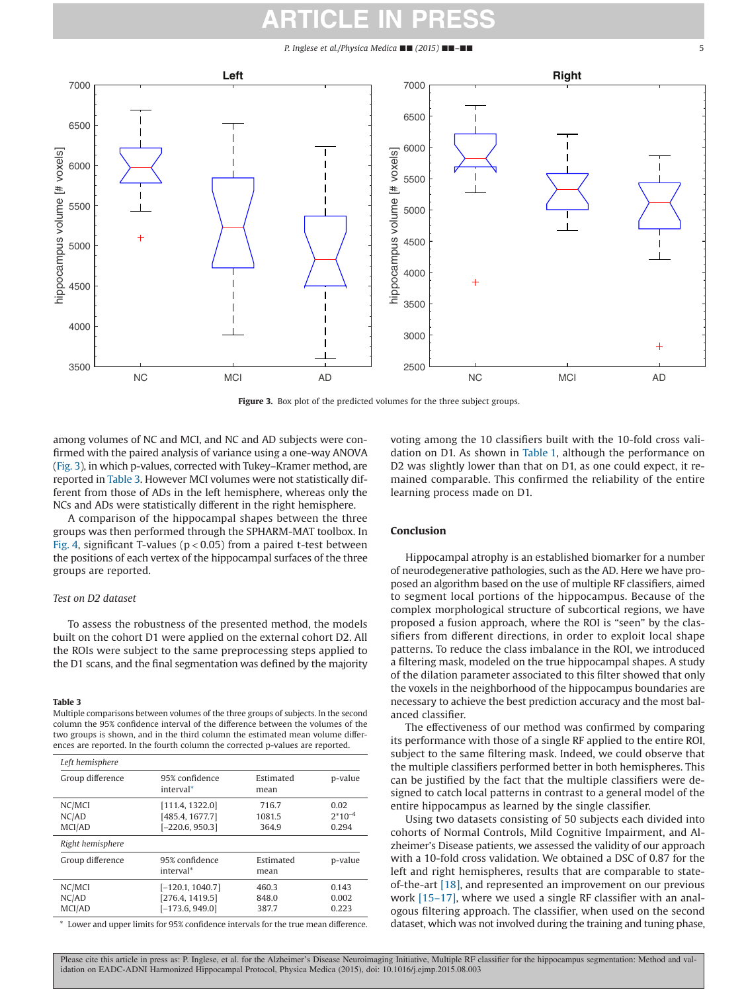#### *P. Inglese et al./Physica Medica* ■■ *(2015)* ■■*–*■■ 5



Figure 3. Box plot of the predicted volumes for the three subject groups.

among volumes of NC and MCI, and NC and AD subjects were confirmed with the paired analysis of variance using a one-way ANOVA (Fig. 3), in which p-values, corrected with Tukey–Kramer method, are reported in Table 3. However MCI volumes were not statistically different from those of ADs in the left hemisphere, whereas only the NCs and ADs were statistically different in the right hemisphere.

A comparison of the hippocampal shapes between the three groups was then performed through the SPHARM-MAT toolbox. In [Fig. 4,](#page-5-0) significant T-values ( $p < 0.05$ ) from a paired t-test between the positions of each vertex of the hippocampal surfaces of the three groups are reported.

# *Test on D2 dataset*

To assess the robustness of the presented method, the models built on the cohort D1 were applied on the external cohort D2. All the ROIs were subject to the same preprocessing steps applied to the D1 scans, and the final segmentation was defined by the majority

#### **Table 3**

Multiple comparisons between volumes of the three groups of subjects. In the second column the 95% confidence interval of the difference between the volumes of the two groups is shown, and in the third column the estimated mean volume differences are reported. In the fourth column the corrected p-values are reported.

| Left hemisphere           |                                                            |                          |                              |
|---------------------------|------------------------------------------------------------|--------------------------|------------------------------|
| Group difference          | 95% confidence<br>interval <sup>*</sup>                    | Estimated<br>mean        | p-value                      |
| NC/MCI<br>NC/AD<br>MCI/AD | [111.4, 1322.0]<br>[485.4, 1677.7]<br>$[-220.6, 950.3]$    | 716.7<br>1081.5<br>364.9 | 0.02<br>$2*10^{-4}$<br>0.294 |
| Right hemisphere          |                                                            |                          |                              |
| Group difference          | 95% confidence<br>interval*                                | Estimated<br>mean        | p-value                      |
| NC/MCI<br>NC/AD<br>MCI/AD | $[-120.1, 1040.7]$<br>[276.4, 1419.5]<br>$[-173.6, 949.0]$ | 460.3<br>848.0<br>387.7  | 0.143<br>0.002<br>0.223      |

<span id="page-4-0"></span>\* Lower and upper limits for 95% confidence intervals for the true mean difference.

voting among the 10 classifiers built with the 10-fold cross validation on D1. As shown in [Table 1,](#page-3-0) although the performance on D2 was slightly lower than that on D1, as one could expect, it remained comparable. This confirmed the reliability of the entire learning process made on D1.

### **Conclusion**

Hippocampal atrophy is an established biomarker for a number of neurodegenerative pathologies, such as the AD. Here we have proposed an algorithm based on the use of multiple RF classifiers, aimed to segment local portions of the hippocampus. Because of the complex morphological structure of subcortical regions, we have proposed a fusion approach, where the ROI is "seen" by the classifiers from different directions, in order to exploit local shape patterns. To reduce the class imbalance in the ROI, we introduced a filtering mask, modeled on the true hippocampal shapes. A study of the dilation parameter associated to this filter showed that only the voxels in the neighborhood of the hippocampus boundaries are necessary to achieve the best prediction accuracy and the most balanced classifier.

The effectiveness of our method was confirmed by comparing its performance with those of a single RF applied to the entire ROI, subject to the same filtering mask. Indeed, we could observe that the multiple classifiers performed better in both hemispheres. This can be justified by the fact that the multiple classifiers were designed to catch local patterns in contrast to a general model of the entire hippocampus as learned by the single classifier.

Using two datasets consisting of 50 subjects each divided into cohorts of Normal Controls, Mild Cognitive Impairment, and Alzheimer's Disease patients, we assessed the validity of our approach with a 10-fold cross validation. We obtained a DSC of 0.87 for the left and right hemispheres, results that are comparable to stateof-the-art [\[18\],](#page-6-13) and represented an improvement on our previous work [\[15–17\],](#page-6-12) where we used a single RF classifier with an analogous filtering approach. The classifier, when used on the second dataset, which was not involved during the training and tuning phase,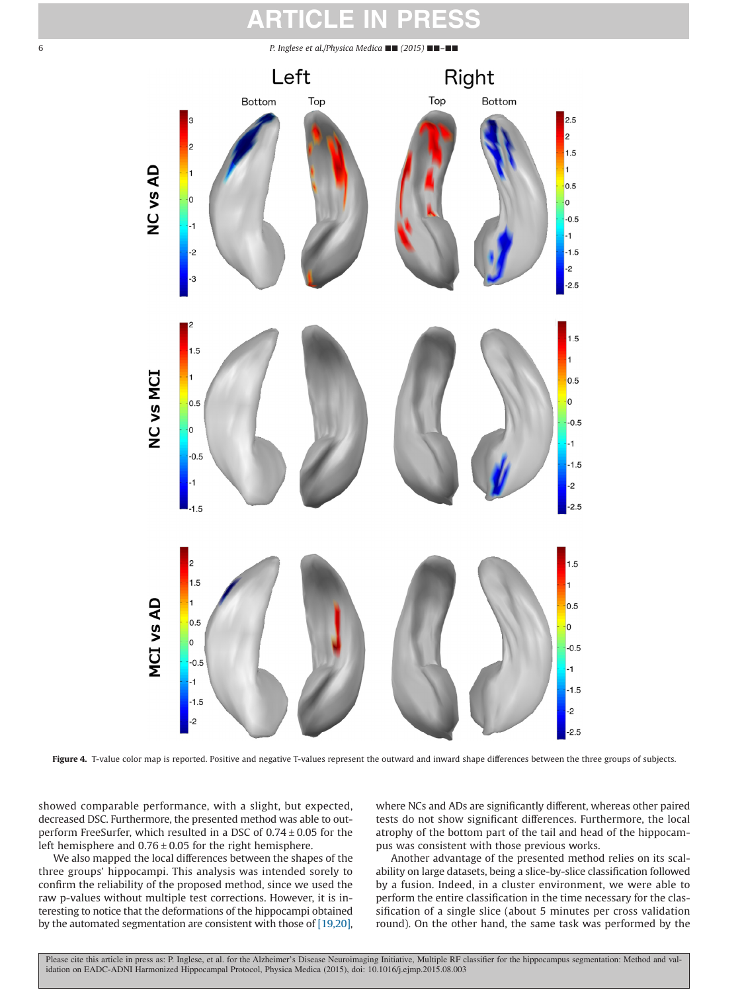<span id="page-5-0"></span>6 *P. Inglese et al./Physica Medica* ■■ *(2015)* ■■*–*■■



Figure 4. T-value color map is reported. Positive and negative T-values represent the outward and inward shape differences between the three groups of subjects.

showed comparable performance, with a slight, but expected, decreased DSC. Furthermore, the presented method was able to outperform FreeSurfer, which resulted in a DSC of  $0.74 \pm 0.05$  for the left hemisphere and  $0.76 \pm 0.05$  for the right hemisphere.

We also mapped the local differences between the shapes of the three groups' hippocampi. This analysis was intended sorely to confirm the reliability of the proposed method, since we used the raw p-values without multiple test corrections. However, it is interesting to notice that the deformations of the hippocampi obtained by the automated segmentation are consistent with those of [\[19,20\],](#page-6-14) where NCs and ADs are significantly different, whereas other paired tests do not show significant differences. Furthermore, the local atrophy of the bottom part of the tail and head of the hippocampus was consistent with those previous works.

Another advantage of the presented method relies on its scalability on large datasets, being a slice-by-slice classification followed by a fusion. Indeed, in a cluster environment, we were able to perform the entire classification in the time necessary for the classification of a single slice (about 5 minutes per cross validation round). On the other hand, the same task was performed by the